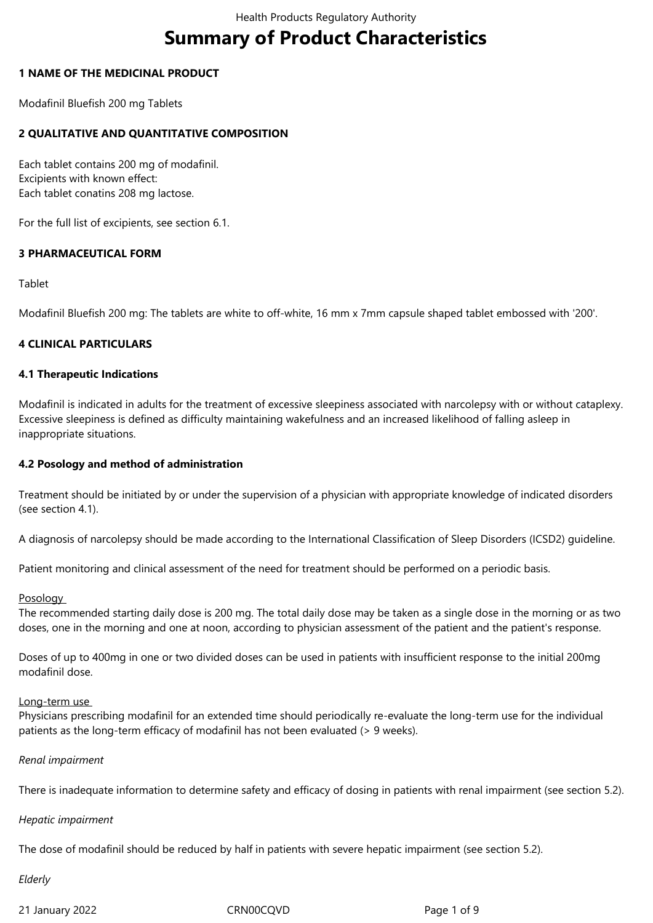# **Summary of Product Characteristics**

#### **1 NAME OF THE MEDICINAL PRODUCT**

Modafinil Bluefish 200 mg Tablets

## **2 QUALITATIVE AND QUANTITATIVE COMPOSITION**

Each tablet contains 200 mg of modafinil. Excipients with known effect: Each tablet conatins 208 mg lactose.

For the full list of excipients, see section 6.1.

## **3 PHARMACEUTICAL FORM**

#### Tablet

Modafinil Bluefish 200 mg: The tablets are white to off-white, 16 mm x 7mm capsule shaped tablet embossed with '200'.

## **4 CLINICAL PARTICULARS**

#### **4.1 Therapeutic Indications**

Modafinil is indicated in adults for the treatment of excessive sleepiness associated with narcolepsy with or without cataplexy. Excessive sleepiness is defined as difficulty maintaining wakefulness and an increased likelihood of falling asleep in inappropriate situations.

#### **4.2 Posology and method of administration**

Treatment should be initiated by or under the supervision of a physician with appropriate knowledge of indicated disorders (see section 4.1).

A diagnosis of narcolepsy should be made according to the International Classification of Sleep Disorders (ICSD2) guideline.

Patient monitoring and clinical assessment of the need for treatment should be performed on a periodic basis.

#### **Posology**

The recommended starting daily dose is 200 mg. The total daily dose may be taken as a single dose in the morning or as two doses, one in the morning and one at noon, according to physician assessment of the patient and the patient's response.

Doses of up to 400mg in one or two divided doses can be used in patients with insufficient response to the initial 200mg modafinil dose.

#### Long-term use

Physicians prescribing modafinil for an extended time should periodically re-evaluate the long-term use for the individual patients as the long-term efficacy of modafinil has not been evaluated (> 9 weeks).

#### *Renal impairment*

There is inadequate information to determine safety and efficacy of dosing in patients with renal impairment (see section 5.2).

#### *Hepatic impairment*

The dose of modafinil should be reduced by half in patients with severe hepatic impairment (see section 5.2).

## *Elderly*

21 January 2022 CRN00CQVD Page 1 of 9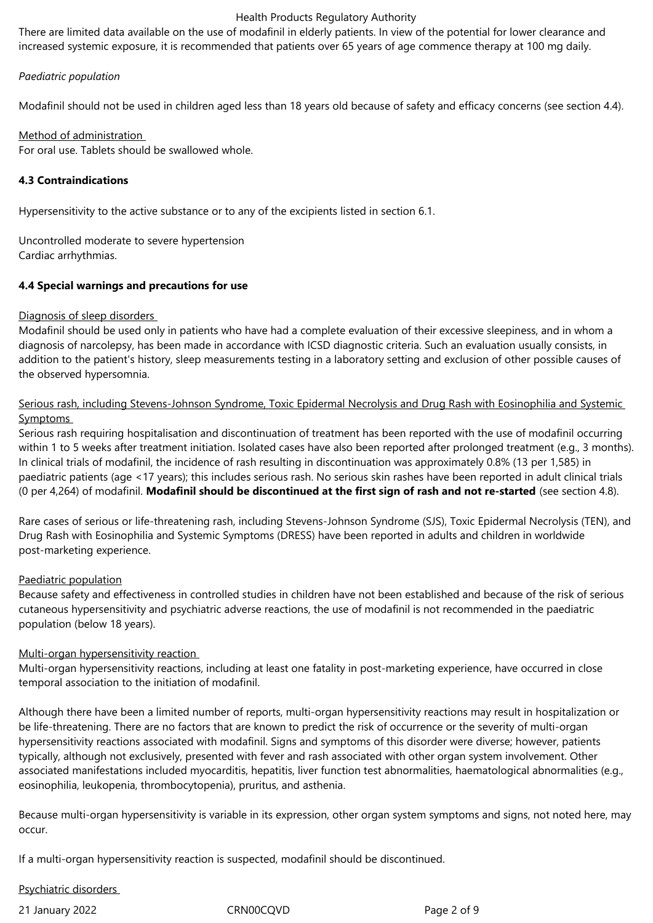There are limited data available on the use of modafinil in elderly patients. In view of the potential for lower clearance and increased systemic exposure, it is recommended that patients over 65 years of age commence therapy at 100 mg daily.

## *Paediatric population*

Modafinil should not be used in children aged less than 18 years old because of safety and efficacy concerns (see section 4.4).

## Method of administration

For oral use. Tablets should be swallowed whole.

## **4.3 Contraindications**

Hypersensitivity to the active substance or to any of the excipients listed in section 6.1.

Uncontrolled moderate to severe hypertension Cardiac arrhythmias.

## **4.4 Special warnings and precautions for use**

## Diagnosis of sleep disorders

Modafinil should be used only in patients who have had a complete evaluation of their excessive sleepiness, and in whom a diagnosis of narcolepsy, has been made in accordance with ICSD diagnostic criteria. Such an evaluation usually consists, in addition to the patient's history, sleep measurements testing in a laboratory setting and exclusion of other possible causes of the observed hypersomnia.

## Serious rash, including Stevens-Johnson Syndrome, Toxic Epidermal Necrolysis and Drug Rash with Eosinophilia and Systemic Symptoms

Serious rash requiring hospitalisation and discontinuation of treatment has been reported with the use of modafinil occurring within 1 to 5 weeks after treatment initiation. Isolated cases have also been reported after prolonged treatment (e.g., 3 months). In clinical trials of modafinil, the incidence of rash resulting in discontinuation was approximately 0.8% (13 per 1,585) in paediatric patients (age <17 years); this includes serious rash. No serious skin rashes have been reported in adult clinical trials (0 per 4,264) of modafinil. **Modafinil should be discontinued at the first sign of rash and not re-started** (see section 4.8).

Rare cases of serious or life-threatening rash, including Stevens-Johnson Syndrome (SJS), Toxic Epidermal Necrolysis (TEN), and Drug Rash with Eosinophilia and Systemic Symptoms (DRESS) have been reported in adults and children in worldwide post-marketing experience.

## Paediatric population

Because safety and effectiveness in controlled studies in children have not been established and because of the risk of serious cutaneous hypersensitivity and psychiatric adverse reactions, the use of modafinil is not recommended in the paediatric population (below 18 years).

#### Multi-organ hypersensitivity reaction

Multi-organ hypersensitivity reactions, including at least one fatality in post-marketing experience, have occurred in close temporal association to the initiation of modafinil.

Although there have been a limited number of reports, multi-organ hypersensitivity reactions may result in hospitalization or be life-threatening. There are no factors that are known to predict the risk of occurrence or the severity of multi-organ hypersensitivity reactions associated with modafinil. Signs and symptoms of this disorder were diverse; however, patients typically, although not exclusively, presented with fever and rash associated with other organ system involvement. Other associated manifestations included myocarditis, hepatitis, liver function test abnormalities, haematological abnormalities (e.g., eosinophilia, leukopenia, thrombocytopenia), pruritus, and asthenia.

Because multi-organ hypersensitivity is variable in its expression, other organ system symptoms and signs, not noted here, may occur.

If a multi-organ hypersensitivity reaction is suspected, modafinil should be discontinued.

## Psychiatric disorders

21 January 2022 CRN00CQVD Page 2 of 9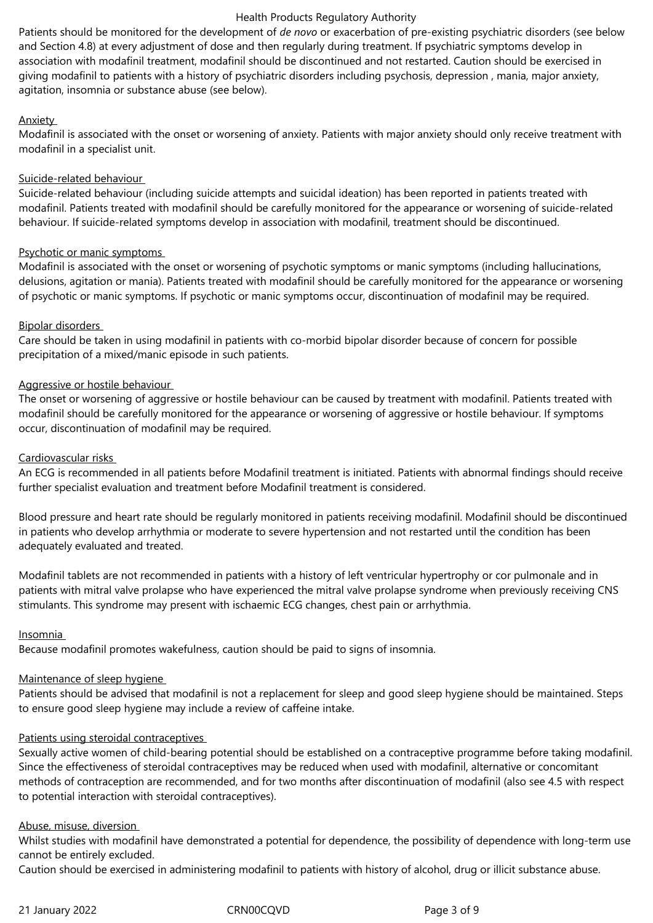Patients should be monitored for the development of *de novo* or exacerbation of pre-existing psychiatric disorders (see below and Section 4.8) at every adjustment of dose and then regularly during treatment. If psychiatric symptoms develop in association with modafinil treatment, modafinil should be discontinued and not restarted. Caution should be exercised in giving modafinil to patients with a history of psychiatric disorders including psychosis, depression , mania, major anxiety, agitation, insomnia or substance abuse (see below).

#### **Anxiety**

Modafinil is associated with the onset or worsening of anxiety. Patients with major anxiety should only receive treatment with modafinil in a specialist unit.

## Suicide-related behaviour

Suicide-related behaviour (including suicide attempts and suicidal ideation) has been reported in patients treated with modafinil. Patients treated with modafinil should be carefully monitored for the appearance or worsening of suicide-related behaviour. If suicide-related symptoms develop in association with modafinil, treatment should be discontinued.

## Psychotic or manic symptoms

Modafinil is associated with the onset or worsening of psychotic symptoms or manic symptoms (including hallucinations, delusions, agitation or mania). Patients treated with modafinil should be carefully monitored for the appearance or worsening of psychotic or manic symptoms. If psychotic or manic symptoms occur, discontinuation of modafinil may be required.

## Bipolar disorders

Care should be taken in using modafinil in patients with co-morbid bipolar disorder because of concern for possible precipitation of a mixed/manic episode in such patients.

## Aggressive or hostile behaviour

The onset or worsening of aggressive or hostile behaviour can be caused by treatment with modafinil. Patients treated with modafinil should be carefully monitored for the appearance or worsening of aggressive or hostile behaviour. If symptoms occur, discontinuation of modafinil may be required.

## Cardiovascular risks

An ECG is recommended in all patients before Modafinil treatment is initiated. Patients with abnormal findings should receive further specialist evaluation and treatment before Modafinil treatment is considered.

Blood pressure and heart rate should be regularly monitored in patients receiving modafinil. Modafinil should be discontinued in patients who develop arrhythmia or moderate to severe hypertension and not restarted until the condition has been adequately evaluated and treated.

Modafinil tablets are not recommended in patients with a history of left ventricular hypertrophy or cor pulmonale and in patients with mitral valve prolapse who have experienced the mitral valve prolapse syndrome when previously receiving CNS stimulants. This syndrome may present with ischaemic ECG changes, chest pain or arrhythmia.

#### Insomnia

Because modafinil promotes wakefulness, caution should be paid to signs of insomnia.

#### Maintenance of sleep hygiene

Patients should be advised that modafinil is not a replacement for sleep and good sleep hygiene should be maintained. Steps to ensure good sleep hygiene may include a review of caffeine intake.

#### Patients using steroidal contraceptives

Sexually active women of child-bearing potential should be established on a contraceptive programme before taking modafinil. Since the effectiveness of steroidal contraceptives may be reduced when used with modafinil, alternative or concomitant methods of contraception are recommended, and for two months after discontinuation of modafinil (also see 4.5 with respect to potential interaction with steroidal contraceptives).

#### Abuse, misuse, diversion

Whilst studies with modafinil have demonstrated a potential for dependence, the possibility of dependence with long-term use cannot be entirely excluded.

Caution should be exercised in administering modafinil to patients with history of alcohol, drug or illicit substance abuse.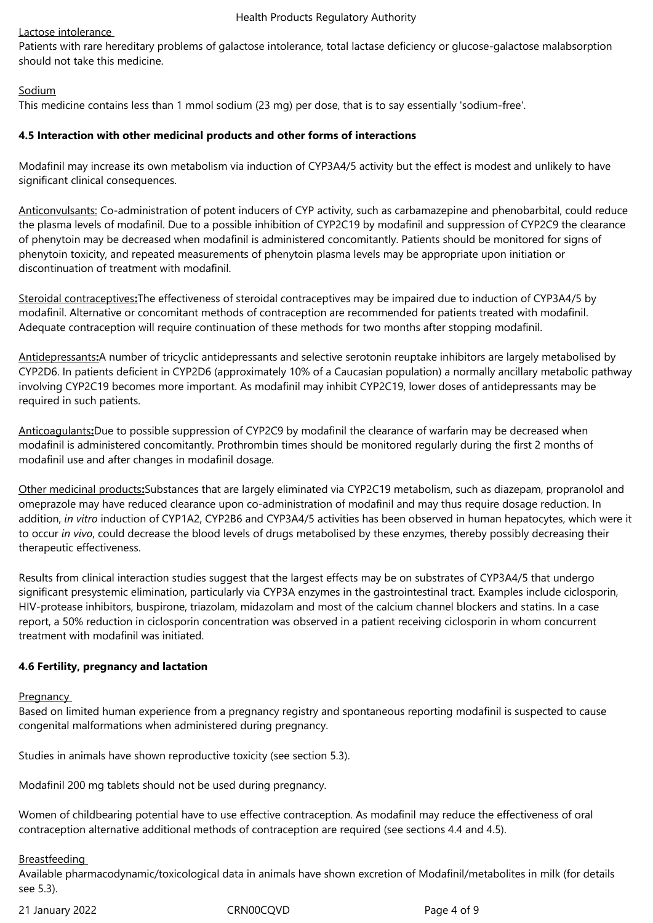#### Lactose intolerance

Patients with rare hereditary problems of galactose intolerance, total lactase deficiency or glucose-galactose malabsorption should not take this medicine.

## Sodium

This medicine contains less than 1 mmol sodium (23 mg) per dose, that is to say essentially 'sodium-free'.

#### **4.5 Interaction with other medicinal products and other forms of interactions**

Modafinil may increase its own metabolism via induction of CYP3A4/5 activity but the effect is modest and unlikely to have significant clinical consequences.

Anticonvulsants: Co-administration of potent inducers of CYP activity, such as carbamazepine and phenobarbital, could reduce the plasma levels of modafinil. Due to a possible inhibition of CYP2C19 by modafinil and suppression of CYP2C9 the clearance of phenytoin may be decreased when modafinil is administered concomitantly. Patients should be monitored for signs of phenytoin toxicity, and repeated measurements of phenytoin plasma levels may be appropriate upon initiation or discontinuation of treatment with modafinil.

Steroidal contraceptives**:**The effectiveness of steroidal contraceptives may be impaired due to induction of CYP3A4/5 by modafinil. Alternative or concomitant methods of contraception are recommended for patients treated with modafinil. Adequate contraception will require continuation of these methods for two months after stopping modafinil.

Antidepressants**:**A number of tricyclic antidepressants and selective serotonin reuptake inhibitors are largely metabolised by CYP2D6. In patients deficient in CYP2D6 (approximately 10% of a Caucasian population) a normally ancillary metabolic pathway involving CYP2C19 becomes more important. As modafinil may inhibit CYP2C19, lower doses of antidepressants may be required in such patients.

Anticoagulants**:**Due to possible suppression of CYP2C9 by modafinil the clearance of warfarin may be decreased when modafinil is administered concomitantly. Prothrombin times should be monitored regularly during the first 2 months of modafinil use and after changes in modafinil dosage.

Other medicinal products**:**Substances that are largely eliminated via CYP2C19 metabolism, such as diazepam, propranolol and omeprazole may have reduced clearance upon co-administration of modafinil and may thus require dosage reduction. In addition, *in vitro* induction of CYP1A2, CYP2B6 and CYP3A4/5 activities has been observed in human hepatocytes, which were it to occur *in vivo*, could decrease the blood levels of drugs metabolised by these enzymes, thereby possibly decreasing their therapeutic effectiveness.

Results from clinical interaction studies suggest that the largest effects may be on substrates of CYP3A4/5 that undergo significant presystemic elimination, particularly via CYP3A enzymes in the gastrointestinal tract. Examples include ciclosporin, HIV-protease inhibitors, buspirone, triazolam, midazolam and most of the calcium channel blockers and statins. In a case report, a 50% reduction in ciclosporin concentration was observed in a patient receiving ciclosporin in whom concurrent treatment with modafinil was initiated.

## **4.6 Fertility, pregnancy and lactation**

**Pregnancy** 

Based on limited human experience from a pregnancy registry and spontaneous reporting modafinil is suspected to cause congenital malformations when administered during pregnancy.

Studies in animals have shown reproductive toxicity (see section 5.3).

Modafinil 200 mg tablets should not be used during pregnancy.

Women of childbearing potential have to use effective contraception. As modafinil may reduce the effectiveness of oral contraception alternative additional methods of contraception are required (see sections 4.4 and 4.5).

#### Breastfeeding

Available pharmacodynamic/toxicological data in animals have shown excretion of Modafinil/metabolites in milk (for details see 5.3).

21 January 2022 CRN00CQVD Page 4 of 9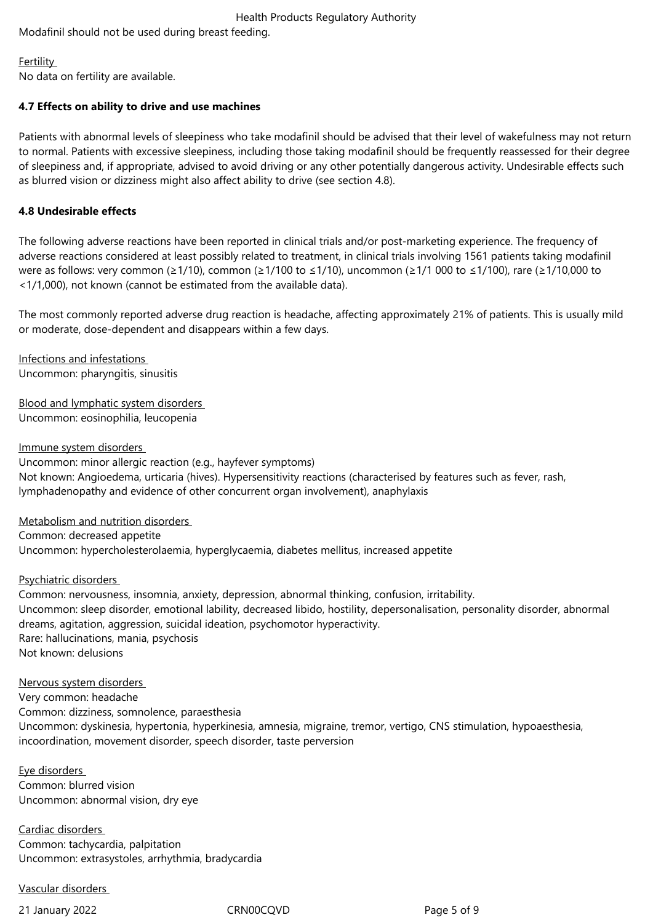Modafinil should not be used during breast feeding.

**Fertility** No data on fertility are available.

## **4.7 Effects on ability to drive and use machines**

Patients with abnormal levels of sleepiness who take modafinil should be advised that their level of wakefulness may not return to normal. Patients with excessive sleepiness, including those taking modafinil should be frequently reassessed for their degree of sleepiness and, if appropriate, advised to avoid driving or any other potentially dangerous activity. Undesirable effects such as blurred vision or dizziness might also affect ability to drive (see section 4.8).

## **4.8 Undesirable effects**

The following adverse reactions have been reported in clinical trials and/or post-marketing experience. The frequency of adverse reactions considered at least possibly related to treatment, in clinical trials involving 1561 patients taking modafinil were as follows: very common (≥1/10), common (≥1/100 to ≤1/10), uncommon (≥1/1 000 to ≤1/100), rare (≥1/10,000 to <1/1,000), not known (cannot be estimated from the available data).

The most commonly reported adverse drug reaction is headache, affecting approximately 21% of patients. This is usually mild or moderate, dose-dependent and disappears within a few days.

Infections and infestations Uncommon: pharyngitis, sinusitis

Blood and lymphatic system disorders Uncommon: eosinophilia, leucopenia

Immune system disorders Uncommon: minor allergic reaction (e.g., hayfever symptoms) Not known: Angioedema, urticaria (hives). Hypersensitivity reactions (characterised by features such as fever, rash, lymphadenopathy and evidence of other concurrent organ involvement), anaphylaxis

Metabolism and nutrition disorders Common: decreased appetite Uncommon: hypercholesterolaemia, hyperglycaemia, diabetes mellitus, increased appetite

Psychiatric disorders

Common: nervousness, insomnia, anxiety, depression, abnormal thinking, confusion, irritability. Uncommon: sleep disorder, emotional lability, decreased libido, hostility, depersonalisation, personality disorder, abnormal dreams, agitation, aggression, suicidal ideation, psychomotor hyperactivity. Rare: hallucinations, mania, psychosis Not known: delusions

#### Nervous system disorders

Very common: headache Common: dizziness, somnolence, paraesthesia Uncommon: dyskinesia, hypertonia, hyperkinesia, amnesia, migraine, tremor, vertigo, CNS stimulation, hypoaesthesia, incoordination, movement disorder, speech disorder, taste perversion

Eye disorders Common: blurred vision Uncommon: abnormal vision, dry eye

Cardiac disorders Common: tachycardia, palpitation Uncommon: extrasystoles, arrhythmia, bradycardia

## Vascular disorders

21 January 2022 CRN00CQVD Page 5 of 9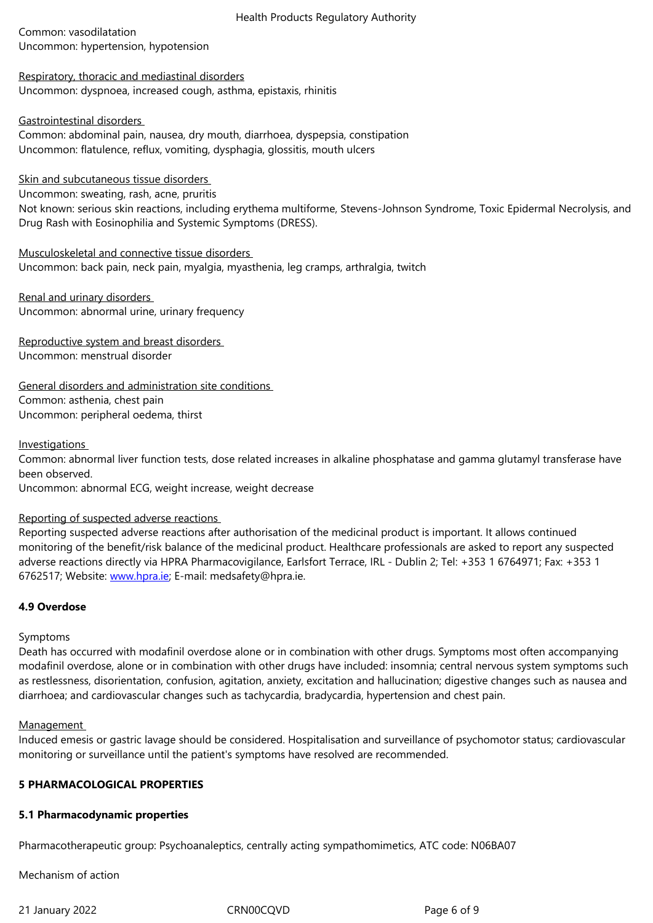## Respiratory, thoracic and mediastinal disorders Uncommon: dyspnoea, increased cough, asthma, epistaxis, rhinitis

## Gastrointestinal disorders

Common: abdominal pain, nausea, dry mouth, diarrhoea, dyspepsia, constipation Uncommon: flatulence, reflux, vomiting, dysphagia, glossitis, mouth ulcers

## Skin and subcutaneous tissue disorders

Uncommon: sweating, rash, acne, pruritis

Not known: serious skin reactions, including erythema multiforme, Stevens-Johnson Syndrome, Toxic Epidermal Necrolysis, and Drug Rash with Eosinophilia and Systemic Symptoms (DRESS).

## Musculoskeletal and connective tissue disorders

Uncommon: back pain, neck pain, myalgia, myasthenia, leg cramps, arthralgia, twitch

Renal and urinary disorders Uncommon: abnormal urine, urinary frequency

Reproductive system and breast disorders Uncommon: menstrual disorder

General disorders and administration site conditions Common: asthenia, chest pain Uncommon: peripheral oedema, thirst

## Investigations

Common: abnormal liver function tests, dose related increases in alkaline phosphatase and gamma glutamyl transferase have been observed.

Uncommon: abnormal ECG, weight increase, weight decrease

## Reporting of suspected adverse reactions

Reporting suspected adverse reactions after authorisation of the medicinal product is important. It allows continued monitoring of the benefit/risk balance of the medicinal product. Healthcare professionals are asked to report any suspected adverse reactions directly via HPRA Pharmacovigilance, Earlsfort Terrace, IRL - Dublin 2; Tel: +353 1 6764971; Fax: +353 1 6762517; Website: www.hpra.ie; E-mail: medsafety@hpra.ie.

## **4.9 Overdose**

## Symptoms

Death has occurred with modafinil overdose alone or in combination with other drugs. Symptoms most often accompanying modafinil overdose, alone or in combination with other drugs have included: insomnia; central nervous system symptoms such as restlessness, disorientation, confusion, agitation, anxiety, excitation and hallucination; digestive changes such as nausea and diarrhoea; and cardiovascular changes such as tachycardia, bradycardia, hypertension and chest pain.

#### Management

Induced emesis or gastric lavage should be considered. Hospitalisation and surveillance of psychomotor status; cardiovascular monitoring or surveillance until the patient's symptoms have resolved are recommended.

## **5 PHARMACOLOGICAL PROPERTIES**

## **5.1 Pharmacodynamic properties**

Pharmacotherapeutic group: Psychoanaleptics, centrally acting sympathomimetics, ATC code: N06BA07

Mechanism of action

21 January 2022 **CRN00CQVD** CRNOOCQVD Page 6 of 9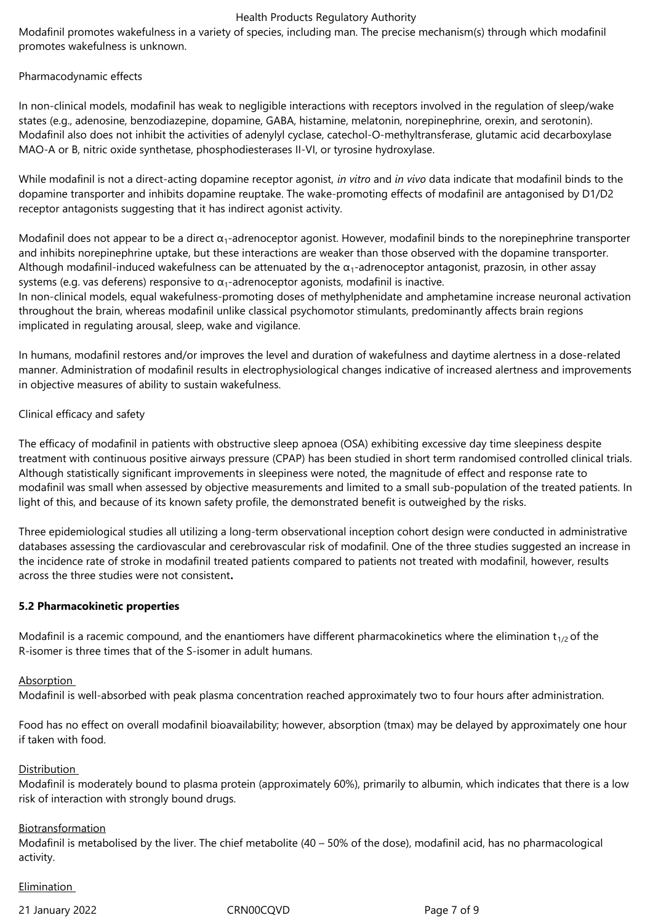Modafinil promotes wakefulness in a variety of species, including man. The precise mechanism(s) through which modafinil promotes wakefulness is unknown.

#### Pharmacodynamic effects

In non-clinical models, modafinil has weak to negligible interactions with receptors involved in the regulation of sleep/wake states (e.g., adenosine, benzodiazepine, dopamine, GABA, histamine, melatonin, norepinephrine, orexin, and serotonin). Modafinil also does not inhibit the activities of adenylyl cyclase, catechol-O-methyltransferase, glutamic acid decarboxylase MAO-A or B, nitric oxide synthetase, phosphodiesterases II-VI, or tyrosine hydroxylase.

While modafinil is not a direct-acting dopamine receptor agonist, *in vitro* and *in vivo* data indicate that modafinil binds to the dopamine transporter and inhibits dopamine reuptake. The wake-promoting effects of modafinil are antagonised by D1/D2 receptor antagonists suggesting that it has indirect agonist activity.

Modafinil does not appear to be a direct  $\alpha_1$ -adrenoceptor agonist. However, modafinil binds to the norepinephrine transporter and inhibits norepinephrine uptake, but these interactions are weaker than those observed with the dopamine transporter. Although modafinil-induced wakefulness can be attenuated by the  $\alpha_1$ -adrenoceptor antagonist, prazosin, in other assay systems (e.g. vas deferens) responsive to  $\alpha_1$ -adrenoceptor agonists, modafinil is inactive.

In non-clinical models, equal wakefulness-promoting doses of methylphenidate and amphetamine increase neuronal activation throughout the brain, whereas modafinil unlike classical psychomotor stimulants, predominantly affects brain regions implicated in regulating arousal, sleep, wake and vigilance.

In humans, modafinil restores and/or improves the level and duration of wakefulness and daytime alertness in a dose-related manner. Administration of modafinil results in electrophysiological changes indicative of increased alertness and improvements in objective measures of ability to sustain wakefulness.

## Clinical efficacy and safety

The efficacy of modafinil in patients with obstructive sleep apnoea (OSA) exhibiting excessive day time sleepiness despite treatment with continuous positive airways pressure (CPAP) has been studied in short term randomised controlled clinical trials. Although statistically significant improvements in sleepiness were noted, the magnitude of effect and response rate to modafinil was small when assessed by objective measurements and limited to a small sub-population of the treated patients. In light of this, and because of its known safety profile, the demonstrated benefit is outweighed by the risks.

Three epidemiological studies all utilizing a long-term observational inception cohort design were conducted in administrative databases assessing the cardiovascular and cerebrovascular risk of modafinil. One of the three studies suggested an increase in the incidence rate of stroke in modafinil treated patients compared to patients not treated with modafinil, however, results across the three studies were not consistent**.**

#### **5.2 Pharmacokinetic properties**

Modafinil is a racemic compound, and the enantiomers have different pharmacokinetics where the elimination  $t_{1/2}$  of the R-isomer is three times that of the S-isomer in adult humans.

## Absorption

Modafinil is well-absorbed with peak plasma concentration reached approximately two to four hours after administration.

Food has no effect on overall modafinil bioavailability; however, absorption (tmax) may be delayed by approximately one hour if taken with food.

#### Distribution

Modafinil is moderately bound to plasma protein (approximately 60%), primarily to albumin, which indicates that there is a low risk of interaction with strongly bound drugs.

#### Biotransformation

Modafinil is metabolised by the liver. The chief metabolite (40 – 50% of the dose), modafinil acid, has no pharmacological activity.

#### **Elimination**

21 January 2022 CRN00CQVD Page 7 of 9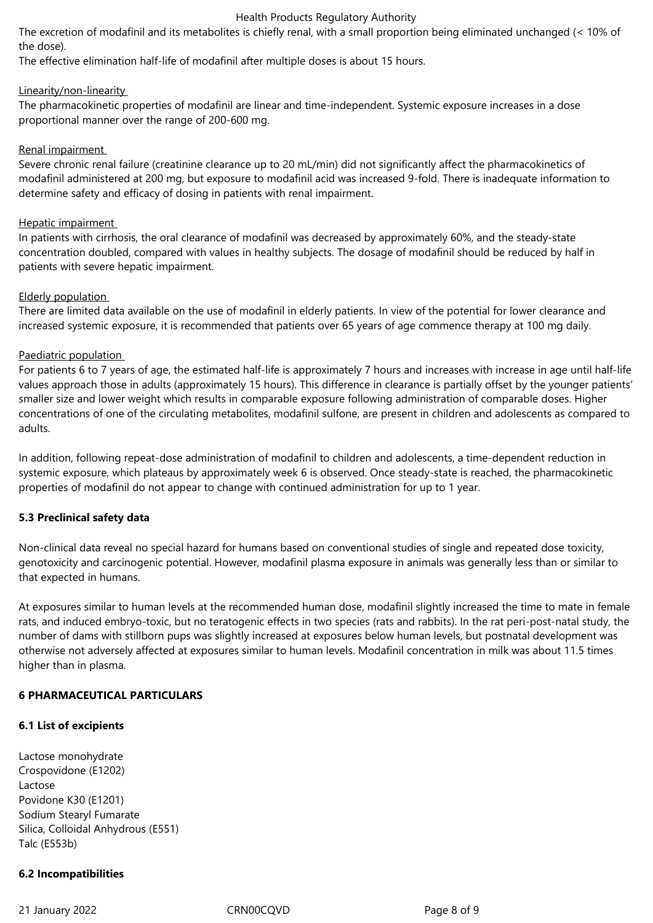The excretion of modafinil and its metabolites is chiefly renal, with a small proportion being eliminated unchanged (< 10% of the dose).

The effective elimination half-life of modafinil after multiple doses is about 15 hours.

## Linearity/non-linearity

The pharmacokinetic properties of modafinil are linear and time-independent. Systemic exposure increases in a dose proportional manner over the range of 200-600 mg.

## Renal impairment

Severe chronic renal failure (creatinine clearance up to 20 mL/min) did not significantly affect the pharmacokinetics of modafinil administered at 200 mg, but exposure to modafinil acid was increased 9-fold. There is inadequate information to determine safety and efficacy of dosing in patients with renal impairment.

#### Hepatic impairment

In patients with cirrhosis, the oral clearance of modafinil was decreased by approximately 60%, and the steady-state concentration doubled, compared with values in healthy subjects. The dosage of modafinil should be reduced by half in patients with severe hepatic impairment.

## Elderly population

There are limited data available on the use of modafinil in elderly patients. In view of the potential for lower clearance and increased systemic exposure, it is recommended that patients over 65 years of age commence therapy at 100 mg daily.

## Paediatric population

For patients 6 to 7 years of age, the estimated half-life is approximately 7 hours and increases with increase in age until half-life values approach those in adults (approximately 15 hours). This difference in clearance is partially offset by the younger patients' smaller size and lower weight which results in comparable exposure following administration of comparable doses. Higher concentrations of one of the circulating metabolites, modafinil sulfone, are present in children and adolescents as compared to adults.

In addition, following repeat-dose administration of modafinil to children and adolescents, a time-dependent reduction in systemic exposure, which plateaus by approximately week 6 is observed. Once steady-state is reached, the pharmacokinetic properties of modafinil do not appear to change with continued administration for up to 1 year.

## **5.3 Preclinical safety data**

Non-clinical data reveal no special hazard for humans based on conventional studies of single and repeated dose toxicity, genotoxicity and carcinogenic potential. However, modafinil plasma exposure in animals was generally less than or similar to that expected in humans.

At exposures similar to human levels at the recommended human dose, modafinil slightly increased the time to mate in female rats, and induced embryo-toxic, but no teratogenic effects in two species (rats and rabbits). In the rat peri-post-natal study, the number of dams with stillborn pups was slightly increased at exposures below human levels, but postnatal development was otherwise not adversely affected at exposures similar to human levels. Modafinil concentration in milk was about 11.5 times higher than in plasma.

## **6 PHARMACEUTICAL PARTICULARS**

## **6.1 List of excipients**

Lactose monohydrate Crospovidone (E1202) Lactose Povidone K30 (E1201) Sodium Stearyl Fumarate Silica, Colloidal Anhydrous (E551) Talc (E553b)

## **6.2 Incompatibilities**